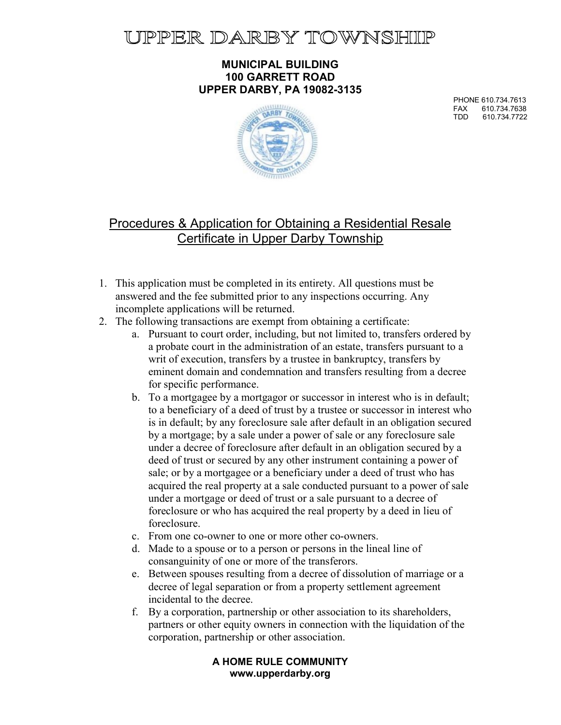# **JPPER DARBY TOWNSHIIP**

#### MUNICIPAL BUILDING 100 GARRETT ROAD UPPER DARBY, PA 19082-3135

PHONE 610.734.7613 FAX 610.734.7638 610.734.7722



# Procedures & Application for Obtaining a Residential Resale Certificate in Upper Darby Township

- 1. This application must be completed in its entirety. All questions must be answered and the fee submitted prior to any inspections occurring. Any incomplete applications will be returned.
- 2. The following transactions are exempt from obtaining a certificate:
	- a. Pursuant to court order, including, but not limited to, transfers ordered by a probate court in the administration of an estate, transfers pursuant to a writ of execution, transfers by a trustee in bankruptcy, transfers by eminent domain and condemnation and transfers resulting from a decree for specific performance.
	- b. To a mortgagee by a mortgagor or successor in interest who is in default; to a beneficiary of a deed of trust by a trustee or successor in interest who is in default; by any foreclosure sale after default in an obligation secured by a mortgage; by a sale under a power of sale or any foreclosure sale under a decree of foreclosure after default in an obligation secured by a deed of trust or secured by any other instrument containing a power of sale; or by a mortgagee or a beneficiary under a deed of trust who has acquired the real property at a sale conducted pursuant to a power of sale under a mortgage or deed of trust or a sale pursuant to a decree of foreclosure or who has acquired the real property by a deed in lieu of foreclosure.
	- c. From one co-owner to one or more other co-owners.
	- d. Made to a spouse or to a person or persons in the lineal line of consanguinity of one or more of the transferors.
	- e. Between spouses resulting from a decree of dissolution of marriage or a decree of legal separation or from a property settlement agreement incidental to the decree.
	- f. By a corporation, partnership or other association to its shareholders, partners or other equity owners in connection with the liquidation of the corporation, partnership or other association.

#### A HOME RULE COMMUNITY www.upperdarby.org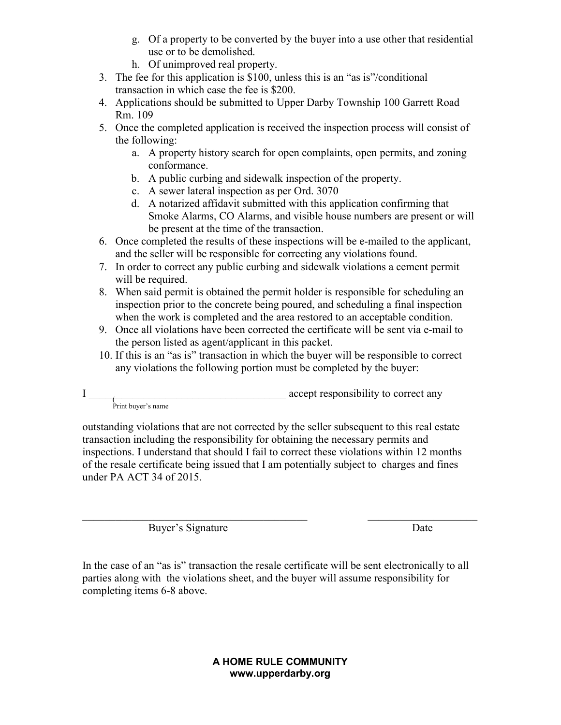- g. Of a property to be converted by the buyer into a use other that residential use or to be demolished.
- h. Of unimproved real property.
- 3. The fee for this application is \$100, unless this is an "as is"/conditional transaction in which case the fee is \$200.
- 4. Applications should be submitted to Upper Darby Township 100 Garrett Road Rm. 109
- 5. Once the completed application is received the inspection process will consist of the following:
	- a. A property history search for open complaints, open permits, and zoning conformance.
	- b. A public curbing and sidewalk inspection of the property.
	- c. A sewer lateral inspection as per Ord. 3070
	- d. A notarized affidavit submitted with this application confirming that Smoke Alarms, CO Alarms, and visible house numbers are present or will be present at the time of the transaction.
- 6. Once completed the results of these inspections will be e-mailed to the applicant, and the seller will be responsible for correcting any violations found.
- 7. In order to correct any public curbing and sidewalk violations a cement permit will be required.
- 8. When said permit is obtained the permit holder is responsible for scheduling an inspection prior to the concrete being poured, and scheduling a final inspection when the work is completed and the area restored to an acceptable condition.
- 9. Once all violations have been corrected the certificate will be sent via e-mail to the person listed as agent/applicant in this packet.
- 10. If this is an "as is" transaction in which the buyer will be responsible to correct any violations the following portion must be completed by the buyer:

outstanding violations that are not corrected by the seller subsequent to this real estate transaction including the responsibility for obtaining the necessary permits and inspections. I understand that should I fail to correct these violations within 12 months of the resale certificate being issued that I am potentially subject to charges and fines under PA ACT 34 of 2015.

Buyer's Signature Date

In the case of an "as is" transaction the resale certificate will be sent electronically to all parties along with the violations sheet, and the buyer will assume responsibility for completing items 6-8 above.

> A HOME RULE COMMUNITY www.upperdarby.org

 $\mathbf I$ accept responsibility to correct any Print buyer's name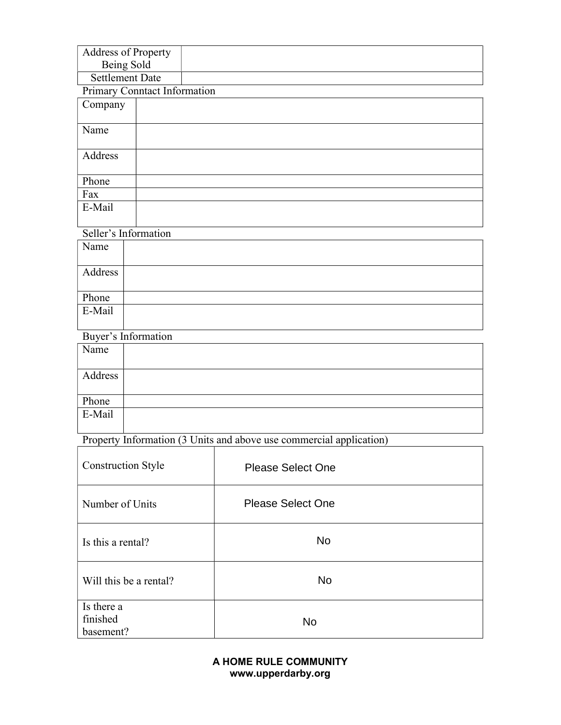| <b>Address of Property</b> |  |
|----------------------------|--|
| Being Sold                 |  |
| Settlement Date            |  |

### Primary Conntact Information

| Company |  |
|---------|--|
|         |  |
| Name    |  |
|         |  |
| Address |  |
|         |  |
| Phone   |  |
| Fax     |  |
| E-Mail  |  |
|         |  |

## Seller's Information

| Name    |  |
|---------|--|
| Address |  |
| Phone   |  |
| E-Mail  |  |

### Buyer's Information

| Name    |  |
|---------|--|
| Address |  |
| Phone   |  |
| E-Mail  |  |

# Property Information (3 Units and above use commercial application)

| <b>Construction Style</b>           | <b>Please Select One</b> |
|-------------------------------------|--------------------------|
| Number of Units                     | <b>Please Select One</b> |
| Is this a rental?                   | No                       |
| Will this be a rental?              | No                       |
| Is there a<br>finished<br>basement? | <b>No</b>                |